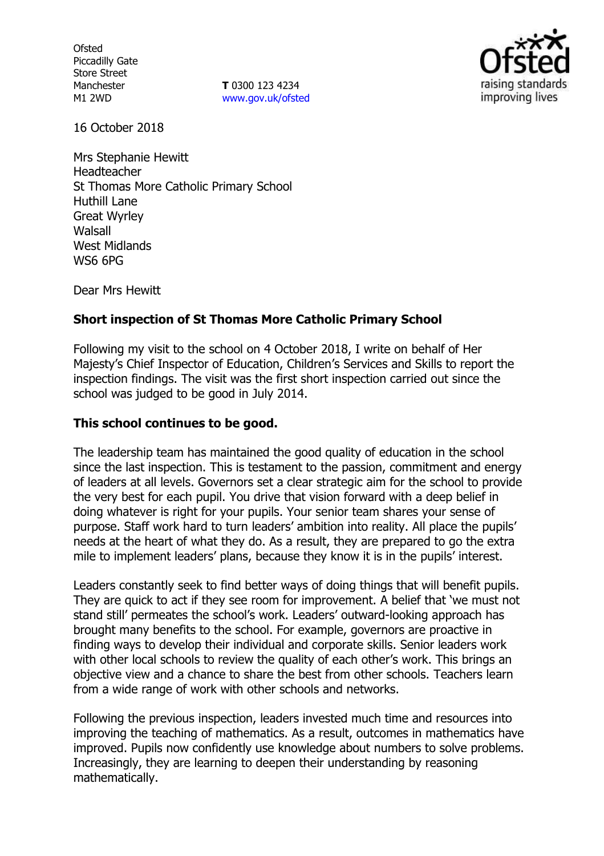**Ofsted** Piccadilly Gate Store Street Manchester M1 2WD

**T** 0300 123 4234 www.gov.uk/ofsted



16 October 2018

Mrs Stephanie Hewitt Headteacher St Thomas More Catholic Primary School Huthill Lane Great Wyrley Walsall West Midlands WS6 6PG

Dear Mrs Hewitt

# **Short inspection of St Thomas More Catholic Primary School**

Following my visit to the school on 4 October 2018, I write on behalf of Her Majesty's Chief Inspector of Education, Children's Services and Skills to report the inspection findings. The visit was the first short inspection carried out since the school was judged to be good in July 2014.

### **This school continues to be good.**

The leadership team has maintained the good quality of education in the school since the last inspection. This is testament to the passion, commitment and energy of leaders at all levels. Governors set a clear strategic aim for the school to provide the very best for each pupil. You drive that vision forward with a deep belief in doing whatever is right for your pupils. Your senior team shares your sense of purpose. Staff work hard to turn leaders' ambition into reality. All place the pupils' needs at the heart of what they do. As a result, they are prepared to go the extra mile to implement leaders' plans, because they know it is in the pupils' interest.

Leaders constantly seek to find better ways of doing things that will benefit pupils. They are quick to act if they see room for improvement. A belief that 'we must not stand still' permeates the school's work. Leaders' outward-looking approach has brought many benefits to the school. For example, governors are proactive in finding ways to develop their individual and corporate skills. Senior leaders work with other local schools to review the quality of each other's work. This brings an objective view and a chance to share the best from other schools. Teachers learn from a wide range of work with other schools and networks.

Following the previous inspection, leaders invested much time and resources into improving the teaching of mathematics. As a result, outcomes in mathematics have improved. Pupils now confidently use knowledge about numbers to solve problems. Increasingly, they are learning to deepen their understanding by reasoning mathematically.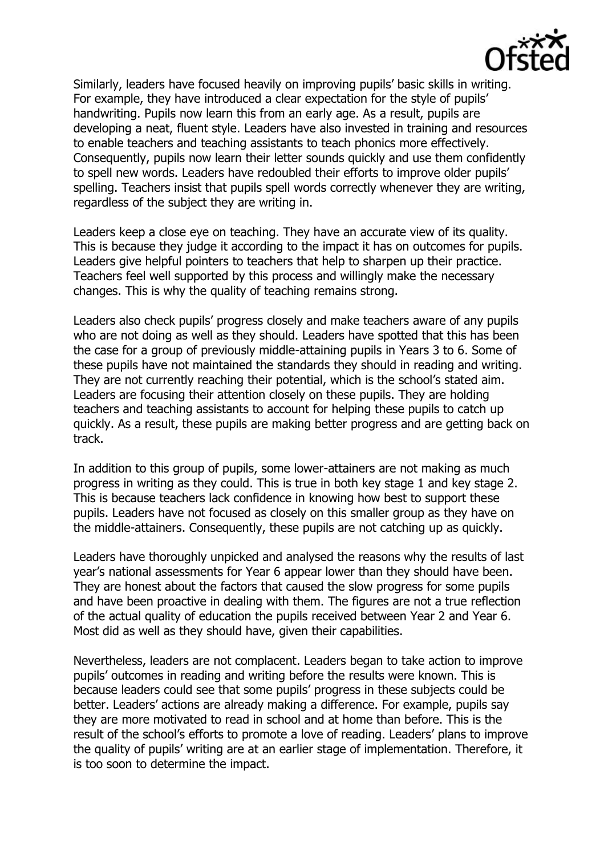

Similarly, leaders have focused heavily on improving pupils' basic skills in writing. For example, they have introduced a clear expectation for the style of pupils' handwriting. Pupils now learn this from an early age. As a result, pupils are developing a neat, fluent style. Leaders have also invested in training and resources to enable teachers and teaching assistants to teach phonics more effectively. Consequently, pupils now learn their letter sounds quickly and use them confidently to spell new words. Leaders have redoubled their efforts to improve older pupils' spelling. Teachers insist that pupils spell words correctly whenever they are writing, regardless of the subject they are writing in.

Leaders keep a close eye on teaching. They have an accurate view of its quality. This is because they judge it according to the impact it has on outcomes for pupils. Leaders give helpful pointers to teachers that help to sharpen up their practice. Teachers feel well supported by this process and willingly make the necessary changes. This is why the quality of teaching remains strong.

Leaders also check pupils' progress closely and make teachers aware of any pupils who are not doing as well as they should. Leaders have spotted that this has been the case for a group of previously middle-attaining pupils in Years 3 to 6. Some of these pupils have not maintained the standards they should in reading and writing. They are not currently reaching their potential, which is the school's stated aim. Leaders are focusing their attention closely on these pupils. They are holding teachers and teaching assistants to account for helping these pupils to catch up quickly. As a result, these pupils are making better progress and are getting back on track.

In addition to this group of pupils, some lower-attainers are not making as much progress in writing as they could. This is true in both key stage 1 and key stage 2. This is because teachers lack confidence in knowing how best to support these pupils. Leaders have not focused as closely on this smaller group as they have on the middle-attainers. Consequently, these pupils are not catching up as quickly.

Leaders have thoroughly unpicked and analysed the reasons why the results of last year's national assessments for Year 6 appear lower than they should have been. They are honest about the factors that caused the slow progress for some pupils and have been proactive in dealing with them. The figures are not a true reflection of the actual quality of education the pupils received between Year 2 and Year 6. Most did as well as they should have, given their capabilities.

Nevertheless, leaders are not complacent. Leaders began to take action to improve pupils' outcomes in reading and writing before the results were known. This is because leaders could see that some pupils' progress in these subjects could be better. Leaders' actions are already making a difference. For example, pupils say they are more motivated to read in school and at home than before. This is the result of the school's efforts to promote a love of reading. Leaders' plans to improve the quality of pupils' writing are at an earlier stage of implementation. Therefore, it is too soon to determine the impact.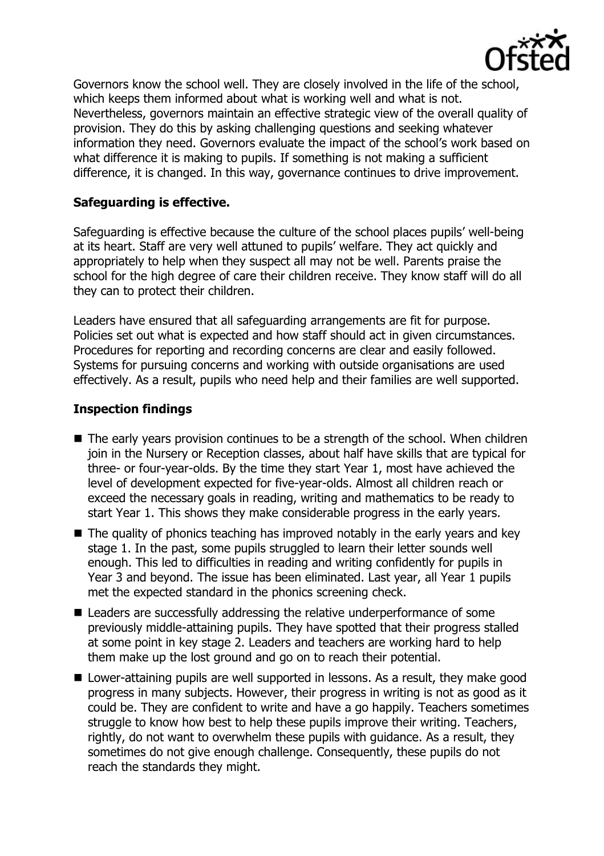

Governors know the school well. They are closely involved in the life of the school, which keeps them informed about what is working well and what is not. Nevertheless, governors maintain an effective strategic view of the overall quality of provision. They do this by asking challenging questions and seeking whatever information they need. Governors evaluate the impact of the school's work based on what difference it is making to pupils. If something is not making a sufficient difference, it is changed. In this way, governance continues to drive improvement.

# **Safeguarding is effective.**

Safeguarding is effective because the culture of the school places pupils' well-being at its heart. Staff are very well attuned to pupils' welfare. They act quickly and appropriately to help when they suspect all may not be well. Parents praise the school for the high degree of care their children receive. They know staff will do all they can to protect their children.

Leaders have ensured that all safeguarding arrangements are fit for purpose. Policies set out what is expected and how staff should act in given circumstances. Procedures for reporting and recording concerns are clear and easily followed. Systems for pursuing concerns and working with outside organisations are used effectively. As a result, pupils who need help and their families are well supported.

### **Inspection findings**

- $\blacksquare$  The early vears provision continues to be a strength of the school. When children join in the Nursery or Reception classes, about half have skills that are typical for three- or four-year-olds. By the time they start Year 1, most have achieved the level of development expected for five-year-olds. Almost all children reach or exceed the necessary goals in reading, writing and mathematics to be ready to start Year 1. This shows they make considerable progress in the early years.
- $\blacksquare$  The quality of phonics teaching has improved notably in the early years and key stage 1. In the past, some pupils struggled to learn their letter sounds well enough. This led to difficulties in reading and writing confidently for pupils in Year 3 and beyond. The issue has been eliminated. Last year, all Year 1 pupils met the expected standard in the phonics screening check.
- Leaders are successfully addressing the relative underperformance of some previously middle-attaining pupils. They have spotted that their progress stalled at some point in key stage 2. Leaders and teachers are working hard to help them make up the lost ground and go on to reach their potential.
- **Lower-attaining pupils are well supported in lessons. As a result, they make good** progress in many subjects. However, their progress in writing is not as good as it could be. They are confident to write and have a go happily. Teachers sometimes struggle to know how best to help these pupils improve their writing. Teachers, rightly, do not want to overwhelm these pupils with guidance. As a result, they sometimes do not give enough challenge. Consequently, these pupils do not reach the standards they might.